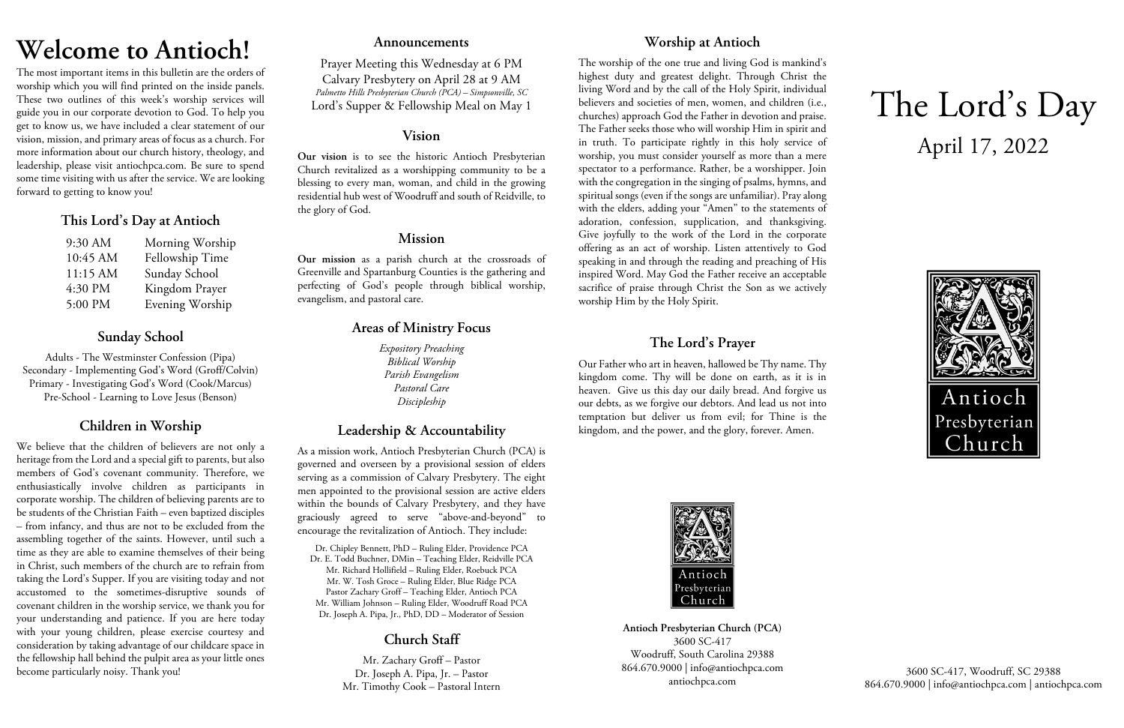# **Welcome to Antioch!**

The most important items in this bulletin are the orders of worship which you will find printed on the inside panels. These two outlines of this week's worship services will guide you in our corporate devotion to God. To help you get to know us, we have included a clear statement of our vision, mission, and primary areas of focus as a church. For more information about our church history, theology, and leadership, please visit antiochpca.com. Be sure to spend some time visiting with us after the service. We are looking forward to getting to know you!

## **This Lord's Day at Antioch**

| 9:30 AM  | Morning Worship |
|----------|-----------------|
| 10:45 AM | Fellowship Time |
| 11:15 AM | Sunday School   |
| 4:30 PM  | Kingdom Prayer  |
| 5:00 PM  | Evening Worship |

# **Sunday School**

Adults - The Westminster Confession (Pipa) Secondary - Implementing God's Word (Groff/Colvin) Primary - Investigating God's Word (Cook/Marcus) Pre-School - Learning to Love Jesus (Benson)

# **Children in Worship**

We believe that the children of believers are not only a heritage from the Lord and a special gift to parents, but also members of God's covenant community. Therefore, we enthusiastically involve children as participants in corporate worship. The children of believing parents are to be students of the Christian Faith – even baptized disciples – from infancy, and thus are not to be excluded from the assembling together of the saints. However, until such a time as they are able to examine themselves of their being in Christ, such members of the church are to refrain from taking the Lord's Supper. If you are visiting today and not accustomed to the sometimes-disruptive sounds of covenant children in the worship service, we thank you for your understanding and patience. If you are here today with your young children, please exercise courtesy and consideration by taking advantage of our childcare space in the fellowship hall behind the pulpit area as your little ones become particularly noisy. Thank you!

### **Announcements**

Prayer Meeting this Wednesday at 6 PM Calvary Presbytery on April 28 at 9 AM *Palmetto Hills Presbyterian Church (PCA) – Simpsonville, SC* Lord's Supper & Fellowship Meal on May 1

## **Vision**

**Our vision** is to see the historic Antioch Presbyterian Church revitalized as a worshipping community to be a blessing to every man, woman, and child in the growing residential hub west of Woodruff and south of Reidville, to the glory of God.

## **Mission**

**Our mission** as a parish church at the crossroads of Greenville and Spartanburg Counties is the gathering and perfecting of God's people through biblical worship, evangelism, and pastoral care.

# **Areas of Ministry Focus**

*Expository Preaching Biblical Worship Parish Evangelism Pastoral Care Discipleship*

# **Leadership & Accountability**

As a mission work, Antioch Presbyterian Church (PCA) is governed and overseen by a provisional session of elders serving as a commission of Calvary Presbytery. The eight men appointed to the provisional session are active elders within the bounds of Calvary Presbytery, and they have graciously agreed to serve "above-and-beyond" to encourage the revitalization of Antioch. They include:

Dr. Chipley Bennett, PhD – Ruling Elder, Providence PCA Dr. E. Todd Buchner, DMin – Teaching Elder, Reidville PCA Mr. Richard Hollifield – Ruling Elder, Roebuck PCA Mr. W. Tosh Groce – Ruling Elder, Blue Ridge PCA Pastor Zachary Groff – Teaching Elder, Antioch PCA Mr. William Johnson – Ruling Elder, Woodruff Road PCA Dr. Joseph A. Pipa, Jr., PhD, DD – Moderator of Session

# **Church Staff**

Mr. Zachary Groff – Pastor Dr. Joseph A. Pipa, Jr. – Pastor Mr. Timothy Cook – Pastoral Intern

# **Worship at Antioch**

The worship of the one true and living God is mankind's highest duty and greatest delight. Through Christ the living Word and by the call of the Holy Spirit, individual believers and societies of men, women, and children (i.e., churches) approach God the Father in devotion and praise. The Father seeks those who will worship Him in spirit and in truth. To participate rightly in this holy service of worship, you must consider yourself as more than a mere spectator to a performance. Rather, be a worshipper. Join with the congregation in the singing of psalms, hymns, and spiritual songs (even if the songs are unfamiliar). Pray along with the elders, adding your "Amen" to the statements of adoration, confession, supplication, and thanksgiving. Give joyfully to the work of the Lord in the corporate offering as an act of worship. Listen attentively to God speaking in and through the reading and preaching of His inspired Word. May God the Father receive an acceptable sacrifice of praise through Christ the Son as we actively worship Him by the Holy Spirit.

# **The Lord's Prayer**

Our Father who art in heaven, hallowed be Thy name. Thy kingdom come. Thy will be done on earth, as it is in heaven. Give us this day our daily bread. And forgive us our debts, as we forgive our debtors. And lead us not into temptation but deliver us from evil; for Thine is the kingdom, and the power, and the glory, forever. Amen.



**Antioch Presbyterian Church (PCA)** 3600 SC-417 Woodruff, South Carolina 29388 864.670.9000 | info@antiochpca.com antiochpca.com

# The Lord's Day April 17, 2022



3600 SC-417, Woodruff, SC 29388 864.670.9000 | info@antiochpca.com | antiochpca.com